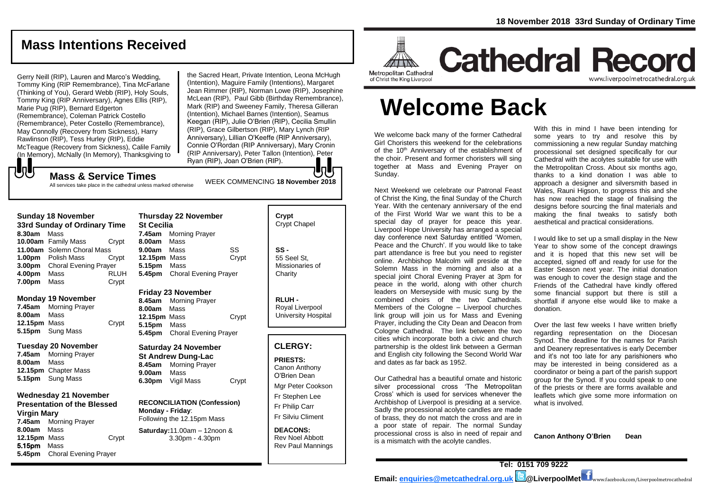## **Mass Intentions Received**

Gerry Neill (RIP), Lauren and Marco's Wedding, Tommy King (RIP Remembrance), Tina McFarlane (Thinking of You), Gerard Webb (RIP), Holy Souls, Tommy King (RIP Anniversary), Agnes Ellis (RIP), Marie Pug (RIP), Bernard Edgerton (Remembrance), Coleman Patrick Costello (Remembrance), Peter Costello (Remembrance), May Connolly (Recovery from Sickness), Harry Rawlinson (RIP), Tess Hurley (RIP), Eddie McTeague (Recovery from Sickness), Calile Family (In Memory), McNally (In Memory), Thanksgiving to

the Sacred Heart, Private Intention, Leona McHugh (Intention), Maguire Family (Intentions), Margaret Jean Rimmer (RIP), Norman Lowe (RIP), Josephine McLean (RIP), Paul Gibb (Birthday Remembrance), Mark (RIP) and Sweeney Family, Theresa Gilleran (Intention), Michael Barnes (Intention), Seamus Keegan (RIP), Julie O'Brien (RIP), Cecilia Smullin (RIP), Grace Gilbertson (RIP), Mary Lynch (RIP Anniversary), Lillian O'Keeffe (RIP Anniversary), Connie O'Rordan (RIP Anniversary), Mary Cronin (RIP Anniversary), Peter Tallon (Intention), Peter Ryan (RIP), Joan O'Brien (RIP).

WEEK COMMENCING **<sup>18</sup> November <sup>2018</sup> Mass & Service Times**

All services take place in the cathedral unless marked otherwise

| <b>Sunday 18 November</b>    |                              |             |  |  |
|------------------------------|------------------------------|-------------|--|--|
| 33rd Sunday of Ordinary Time |                              |             |  |  |
| 8.30am                       | Mass                         |             |  |  |
|                              | 10.00am Family Mass          | Crypt       |  |  |
|                              | 11.00am Solemn Choral Mass   |             |  |  |
| 1.00pm                       | Polish Mass                  | Crvpt       |  |  |
| 3.00 <sub>pm</sub>           | <b>Choral Evening Prayer</b> |             |  |  |
| 4.00pm                       | Mass                         | <b>RLUH</b> |  |  |
| 7.00pm                       | Mass                         | Crypt       |  |  |

#### **Monday 19 November**

もし

**7.45am** Morning Prayer **8.00am** Mass **12.15pm** Mass Crypt **5.15pm** Sung Mass

#### **Tuesday 20 November**

**7.45am** Morning Prayer **8.00am** Mass **12.15pm** Chapter Mass **5.15pm** Sung Mass

#### **Wednesday 21 November Presentation of the Blessed**

**Virgin Mary 7.45am** Morning Prayer **8.00am** Mass **12.15pm** Mass Crypt 5.15pm Mass **5.45pm** Choral Evening Prayer

| <b>Thursday 22 November</b><br><b>St Cecilia</b> |                              |       |  |
|--------------------------------------------------|------------------------------|-------|--|
|                                                  | <b>7.45am</b> Morning Prayer |       |  |
| 8.00am Mass                                      |                              |       |  |
| 9.00am Mass                                      |                              | SS    |  |
| 12.15pm Mass                                     |                              | Crypt |  |
| 5.15pm                                           | Mass                         |       |  |
|                                                  | 5.45pm Choral Evening Prayer |       |  |
|                                                  |                              |       |  |

#### **Friday 23 November**

**8.45am** Morning Prayer **8.00am** Mass 12.15pm Mass **Crypt 5.15pm** Mass **5.45pm** Choral Evening Prayer

**Saturday 24 November St Andrew Dung-Lac 8.45am** Morning Prayer **9.00am** Mass **6.30pm** Vigil Mass Crypt

**RECONCILIATION (Confession) Monday - Friday**: Following the 12.15pm Mass

**Saturday:**11.00am – 12noon & 3.30pm - 4.30pm

| Crypt<br><b>Crypt Chapel</b>                      |
|---------------------------------------------------|
| SS -<br>55 Seel St.<br>Missionaries of<br>Charity |

**RLUH -** Royal Liverpool University Hospital

#### **CLERGY:**

**PRIESTS:** Canon Anthony O'Brien *Dean*

Mgr Peter Cookson Fr Stephen Lee Fr Philip Carr

Fr Silviu Climent

**DEACONS:** Rev Noel Abbott Rev Paul Mannings



## **Cathedral Record** www.liverpoolmetrocathedral.org.uk

of Christ the King Liverpool

# **Welcome Back**

We welcome back many of the former Cathedral Girl Choristers this weekend for the celebrations of the 10<sup>th</sup> Anniversary of the establishment of the choir. Present and former choristers will sing together at Mass and Evening Prayer on Sunday.

Next Weekend we celebrate our Patronal Feast of Christ the King, the final Sunday of the Church Year. With the centenary anniversary of the end of the First World War we want this to be a special day of prayer for peace this year. Liverpool Hope University has arranged a special day conference next Saturday entitled 'Women, Peace and the Church'. If you would like to take part attendance is free but you need to register online. Archbishop Malcolm will preside at the Solemn Mass in the morning and also at a special joint Choral Evening Prayer at 3pm for peace in the world, along with other church leaders on Merseyside with music sung by the combined choirs of the two Cathedrals. Members of the Cologne – Liverpool churches link group will join us for Mass and Evening Prayer, including the City Dean and Deacon from Cologne Cathedral. The link between the two cities which incorporate both a civic and church partnership is the oldest link between a German and English city following the Second World War and dates as far back as 1952.

Our Cathedral has a beautiful ornate and historic silver processional cross 'The Metropolitan Cross' which is used for services whenever the Archbishop of Liverpool is presiding at a service. Sadly the processional acolyte candles are made of brass, they do not match the cross and are in a poor state of repair. The normal Sunday processional cross is also in need of repair and is a mismatch with the acolyte candles.

With this in mind I have been intending for some years to try and resolve this by commissioning a new regular Sunday matching processional set designed specifically for our Cathedral with the acolytes suitable for use with the Metropolitan Cross. About six months ago, thanks to a kind donation I was able to approach a designer and silversmith based in Wales, Rauni Higson, to progress this and she has now reached the stage of finalising the designs before sourcing the final materials and making the final tweaks to satisfy both aesthetical and practical considerations.

I would like to set up a small display in the New Year to show some of the concept drawings and it is hoped that this new set will be accepted, signed off and ready for use for the Easter Season next year. The initial donation was enough to cover the design stage and the Friends of the Cathedral have kindly offered some financial support but there is still a shortfall if anyone else would like to make a donation.

Over the last few weeks I have written briefly regarding representation on the Diocesan Synod. The deadline for the names for Parish and Deanery representatives is early December and it's not too late for any parishioners who may be interested in being considered as a coordinator or being a part of the parish support group for the Synod. If you could speak to one of the priests or there are forms available and leaflets which give some more information on what is involved.

**Canon Anthony O'Brien Dean**